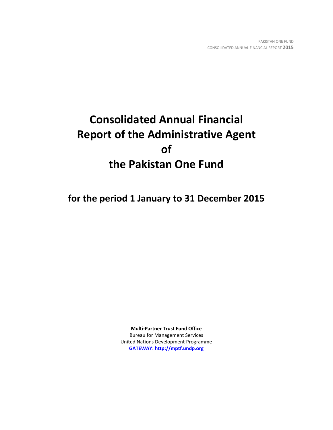# **Consolidated Annual Financial Report of the Administrative Agent of the Pakistan One Fund**

**for the period 1 January to 31 December 2015**

**Multi-Partner Trust Fund Office** Bureau for Management Services United Nations Development Programme **[GATEWAY: http://mptf.undp.org](http://mptf.undp.org/)**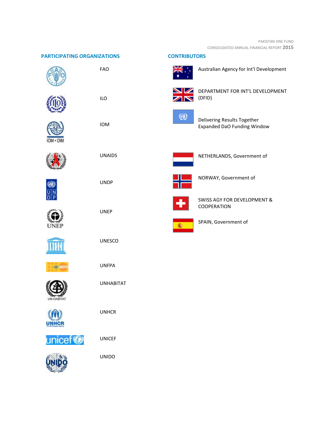| <b>PARTICIPATING ORGANIZATIONS</b> |                  | <b>CONTRIBUTORS</b> |                                                                               |
|------------------------------------|------------------|---------------------|-------------------------------------------------------------------------------|
|                                    | FAO              |                     | Australian Agency for Int'l Development                                       |
|                                    | <b>ILO</b>       |                     | DEPARTMENT FOR INT'L DEVELOPMENT<br>(DFID)                                    |
|                                    | IOM              | $\scriptstyle{(i)}$ | Delivering Results Together<br><b>Expanded DaO Funding Window</b>             |
|                                    | <b>UNAIDS</b>    |                     | NETHERLANDS, Government of                                                    |
|                                    | <b>UNDP</b>      |                     | NORWAY, Government of                                                         |
| UNEP                               | <b>UNEP</b>      |                     | <b>SWISS AGY FOR DEVELOPMENT &amp;</b><br>COOPERATION<br>SPAIN, Government of |
|                                    | <b>UNESCO</b>    |                     |                                                                               |
|                                    | <b>UNFPA</b>     |                     |                                                                               |
| <b>UN-HABITAT</b>                  | <b>UNHABITAT</b> |                     |                                                                               |
| UNHCR                              | <b>UNHCR</b>     |                     |                                                                               |
| unicef <sup>®</sup>                | <b>UNICEF</b>    |                     |                                                                               |
|                                    | <b>UNIDO</b>     |                     |                                                                               |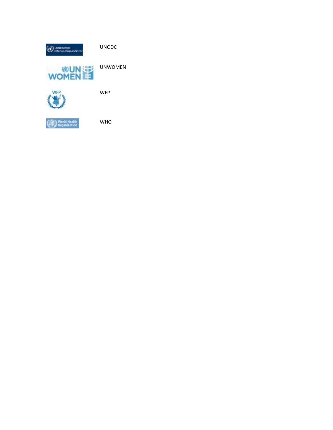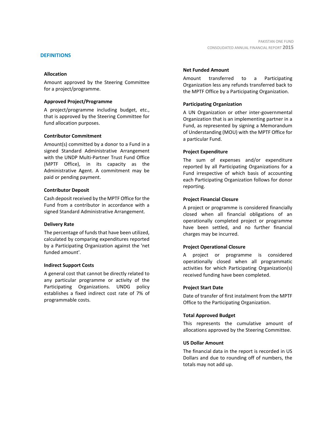# **DEFINITIONS**

# **Allocation**

Amount approved by the Steering Committee for a project/programme.

# **Approved Project/Programme**

A project/programme including budget, etc., that is approved by the Steering Committee for fund allocation purposes.

# **Contributor Commitment**

Amount(s) committed by a donor to a Fund in a signed Standard Administrative Arrangement with the UNDP Multi-Partner Trust Fund Office (MPTF Office), in its capacity as the Administrative Agent. A commitment may be paid or pending payment.

# **Contributor Deposit**

Cash deposit received by the MPTF Office for the Fund from a contributor in accordance with a signed Standard Administrative Arrangement.

# **Delivery Rate**

The percentage of funds that have been utilized, calculated by comparing expenditures reported by a Participating Organization against the 'net funded amount'.

# **Indirect Support Costs**

A general cost that cannot be directly related to any particular programme or activity of the Participating Organizations. UNDG policy establishes a fixed indirect cost rate of 7% of programmable costs.

# **Net Funded Amount**

Amount transferred to a Participating Organization less any refunds transferred back to the MPTF Office by a Participating Organization.

# **Participating Organization**

A UN Organization or other inter-governmental Organization that is an implementing partner in a Fund, as represented by signing a Memorandum of Understanding (MOU) with the MPTF Office for a particular Fund.

# **Project Expenditure**

The sum of expenses and/or expenditure reported by all Participating Organizations for a Fund irrespective of which basis of accounting each Participating Organization follows for donor reporting.

# **Project Financial Closure**

A project or programme is considered financially closed when all financial obligations of an operationally completed project or programme have been settled, and no further financial charges may be incurred.

# **Project Operational Closure**

A project or programme is considered operationally closed when all programmatic activities for which Participating Organization(s) received funding have been completed.

# **Project Start Date**

Date of transfer of first instalment from the MPTF Office to the Participating Organization.

# **Total Approved Budget**

This represents the cumulative amount of allocations approved by the Steering Committee.

# **US Dollar Amount**

The financial data in the report is recorded in US Dollars and due to rounding off of numbers, the totals may not add up.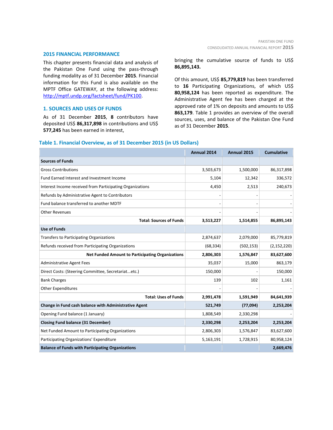#### **2015 FINANCIAL PERFORMANCE**

This chapter presents financial data and analysis of the Pakistan One Fund using the pass-through funding modality as of 31 December **2015**. Financial information for this Fund is also available on the MPTF Office GATEWAY, at the following address: [http://mptf.undp.org/factsheet/fund/PK100.](http://mptf.undp.org/factsheet/fund/PK100)

# **1. SOURCES AND USES OF FUNDS**

As of 31 December **2015**, **8** contributors have deposited US\$ **86,317,898** in contributions and US\$ **577,245** has been earned in interest,

bringing the cumulative source of funds to US\$ **86,895,143.**

Of this amount, US\$ **85,779,819** has been transferred to **16** Participating Organizations, of which US\$ **80,958,124** has been reported as expenditure. The Administrative Agent fee has been charged at the approved rate of 1% on deposits and amounts to US\$ **863,179**. Table 1 provides an overview of the overall sources, uses, and balance of the Pakistan One Fund as of 31 December **2015**.

# **Annual 2014 Annual 2015 Cumulative Sources of Funds** Gross Contributions 3,503,673 1,500,000 86,317,898 Fund Earned Interest and Investment Income 5,104 12,342 336,572 Interest Income received from Participating Organizations 1996 1997 1998 2006 2,513 240,673 Refunds by Administrative Agent to Contributors and the state of the state of the state of the state of the state of the state of the state of the state of the state of the state of the state of the state of the state of t Fund balance transferred to another MDTF **Use of Funds**

#### **Table 1. Financial Overview, as of 31 December 2015 (in US Dollars)**

| Fund balance transierred to another MDTF                 |           |            |               |
|----------------------------------------------------------|-----------|------------|---------------|
| Other Revenues                                           |           |            |               |
| <b>Total: Sources of Funds</b>                           | 3,513,227 | 1,514,855  | 86,895,143    |
| <b>Use of Funds</b>                                      |           |            |               |
| <b>Transfers to Participating Organizations</b>          | 2,874,637 | 2,079,000  | 85,779,819    |
| Refunds received from Participating Organizations        | (68, 334) | (502, 153) | (2, 152, 220) |
| <b>Net Funded Amount to Participating Organizations</b>  | 2,806,303 | 1,576,847  | 83,627,600    |
| <b>Administrative Agent Fees</b>                         | 35,037    | 15,000     | 863,179       |
| Direct Costs: (Steering Committee, Secretariatetc.)      | 150,000   |            | 150,000       |
| <b>Bank Charges</b>                                      | 139       | 102        | 1,161         |
| <b>Other Expenditures</b>                                |           |            |               |
| <b>Total: Uses of Funds</b>                              | 2,991,478 | 1,591,949  | 84,641,939    |
| Change in Fund cash balance with Administrative Agent    | 521,749   | (77, 094)  | 2,253,204     |
| Opening Fund balance (1 January)                         | 1,808,549 | 2,330,298  |               |
| <b>Closing Fund balance (31 December)</b>                | 2,330,298 | 2,253,204  | 2,253,204     |
| Net Funded Amount to Participating Organizations         | 2,806,303 | 1,576,847  | 83,627,600    |
| Participating Organizations' Expenditure                 | 5,163,191 | 1,728,915  | 80,958,124    |
| <b>Balance of Funds with Participating Organizations</b> |           |            | 2,669,476     |
|                                                          |           |            |               |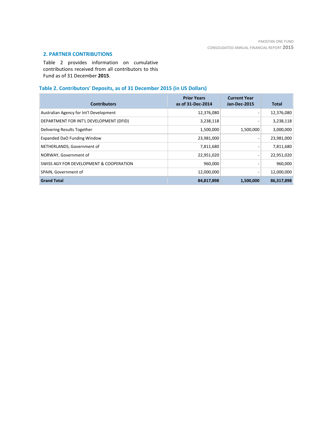# **2. PARTNER CONTRIBUTIONS**

Table 2 provides information on cumulative contributions received from all contributors to this Fund as of 31 December **2015**.

# **Table 2. Contributors' Deposits, as of 31 December 2015 (in US Dollars)**

| <b>Contributors</b>                     | <b>Prior Years</b><br>as of 31-Dec-2014 | <b>Current Year</b><br><b>Jan-Dec-2015</b> | <b>Total</b> |
|-----------------------------------------|-----------------------------------------|--------------------------------------------|--------------|
| Australian Agency for Int'l Development | 12,376,080                              |                                            | 12,376,080   |
| DEPARTMENT FOR INT'L DEVELOPMENT (DFID) | 3,238,118                               |                                            | 3,238,118    |
| Delivering Results Together             | 1,500,000                               | 1,500,000                                  | 3,000,000    |
| Expanded DaO Funding Window             | 23,981,000                              | $\qquad \qquad \blacksquare$               | 23,981,000   |
| NETHERLANDS, Government of              | 7,811,680                               | $\overline{\phantom{a}}$                   | 7,811,680    |
| NORWAY, Government of                   | 22,951,020                              | $\qquad \qquad \blacksquare$               | 22,951,020   |
| SWISS AGY FOR DEVELOPMENT & COOPERATION | 960,000                                 |                                            | 960,000      |
| SPAIN, Government of                    | 12,000,000                              | $\qquad \qquad \blacksquare$               | 12,000,000   |
| <b>Grand Total</b>                      | 84,817,898                              | 1,500,000                                  | 86,317,898   |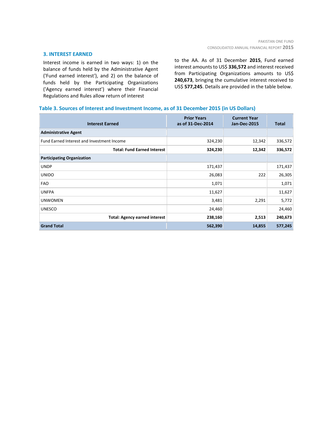# **3. INTEREST EARNED**

Interest income is earned in two ways: 1) on the balance of funds held by the Administrative Agent ('Fund earned interest'), and 2) on the balance of funds held by the Participating Organizations ('Agency earned interest') where their Financial Regulations and Rules allow return of interest

to the AA. As of 31 December **2015**, Fund earned interest amounts to US\$ **336,572** and interest received from Participating Organizations amounts to US\$ **240,673**, bringing the cumulative interest received to US\$ **577,245**. Details are provided in the table below.

# **Table 3. Sources of Interest and Investment Income, as of 31 December 2015 (in US Dollars)**

| <b>Interest Earned</b>                     | <b>Prior Years</b><br>as of 31-Dec-2014 | <b>Current Year</b><br><b>Jan-Dec-2015</b> | Total   |
|--------------------------------------------|-----------------------------------------|--------------------------------------------|---------|
| <b>Administrative Agent</b>                |                                         |                                            |         |
| Fund Earned Interest and Investment Income | 324,230                                 | 12,342                                     | 336,572 |
| <b>Total: Fund Earned Interest</b>         | 324,230                                 | 12,342                                     | 336,572 |
| <b>Participating Organization</b>          |                                         |                                            |         |
| <b>UNDP</b>                                | 171,437                                 |                                            | 171,437 |
| <b>UNIDO</b>                               | 26,083                                  | 222                                        | 26,305  |
| <b>FAO</b>                                 | 1,071                                   |                                            | 1,071   |
| <b>UNFPA</b>                               | 11,627                                  |                                            | 11,627  |
| <b>UNWOMEN</b>                             | 3,481                                   | 2,291                                      | 5,772   |
| <b>UNESCO</b>                              | 24,460                                  |                                            | 24,460  |
| <b>Total: Agency earned interest</b>       | 238,160                                 | 2,513                                      | 240,673 |
| <b>Grand Total</b>                         | 562,390                                 | 14,855                                     | 577,245 |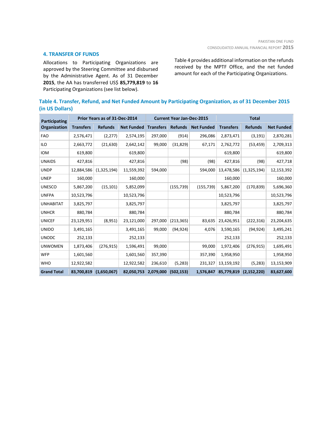# **4. TRANSFER OF FUNDS**

Allocations to Participating Organizations are approved by the Steering Committee and disbursed by the Administrative Agent. As of 31 December **2015**, the AA has transferred US\$ **85,779,819** to **16** Participating Organizations (see list below).

Table 4 provides additional information on the refunds received by the MPTF Office, and the net funded amount for each of the Participating Organizations.

|                 |  | Table 4. Transfer, Refund, and Net Funded Amount by Participating Organization, as of 31 December 2015 |  |
|-----------------|--|--------------------------------------------------------------------------------------------------------|--|
| (in US Dollars) |  |                                                                                                        |  |

| Participating      |                  | Prior Years as of 31-Dec-2014 |                   |                  | <b>Current Year Jan-Dec-2015</b> |                   |                  | <b>Total</b>   |                   |  |
|--------------------|------------------|-------------------------------|-------------------|------------------|----------------------------------|-------------------|------------------|----------------|-------------------|--|
| Organization       | <b>Transfers</b> | <b>Refunds</b>                | <b>Net Funded</b> | <b>Transfers</b> | <b>Refunds</b>                   | <b>Net Funded</b> | <b>Transfers</b> | <b>Refunds</b> | <b>Net Funded</b> |  |
| <b>FAO</b>         | 2,576,471        | (2, 277)                      | 2,574,195         | 297,000          | (914)                            | 296,086           | 2,873,471        | (3, 191)       | 2,870,281         |  |
| <b>ILO</b>         | 2,663,772        | (21, 630)                     | 2,642,142         | 99,000           | (31, 829)                        | 67,171            | 2,762,772        | (53, 459)      | 2,709,313         |  |
| <b>IOM</b>         | 619,800          |                               | 619,800           |                  |                                  |                   | 619,800          |                | 619,800           |  |
| <b>UNAIDS</b>      | 427,816          |                               | 427,816           |                  | (98)                             | (98)              | 427,816          | (98)           | 427,718           |  |
| <b>UNDP</b>        | 12,884,586       | (1,325,194)                   | 11,559,392        | 594,000          |                                  | 594,000           | 13,478,586       | (1,325,194)    | 12,153,392        |  |
| <b>UNEP</b>        | 160,000          |                               | 160,000           |                  |                                  |                   | 160,000          |                | 160,000           |  |
| <b>UNESCO</b>      | 5,867,200        | (15, 101)                     | 5,852,099         |                  | (155, 739)                       | (155, 739)        | 5,867,200        | (170, 839)     | 5,696,360         |  |
| <b>UNFPA</b>       | 10,523,796       |                               | 10,523,796        |                  |                                  |                   | 10,523,796       |                | 10,523,796        |  |
| <b>UNHABITAT</b>   | 3,825,797        |                               | 3,825,797         |                  |                                  |                   | 3,825,797        |                | 3,825,797         |  |
| <b>UNHCR</b>       | 880,784          |                               | 880,784           |                  |                                  |                   | 880,784          |                | 880,784           |  |
| <b>UNICEF</b>      | 23,129,951       | (8,951)                       | 23,121,000        | 297,000          | (213, 365)                       | 83,635            | 23,426,951       | (222, 316)     | 23,204,635        |  |
| <b>UNIDO</b>       | 3,491,165        |                               | 3,491,165         | 99,000           | (94, 924)                        | 4,076             | 3,590,165        | (94, 924)      | 3,495,241         |  |
| <b>UNODC</b>       | 252,133          |                               | 252,133           |                  |                                  |                   | 252,133          |                | 252,133           |  |
| <b>UNWOMEN</b>     | 1,873,406        | (276, 915)                    | 1,596,491         | 99,000           |                                  | 99,000            | 1,972,406        | (276, 915)     | 1,695,491         |  |
| <b>WFP</b>         | 1,601,560        |                               | 1,601,560         | 357,390          |                                  | 357,390           | 1,958,950        |                | 1,958,950         |  |
| <b>WHO</b>         | 12,922,582       |                               | 12,922,582        | 236,610          | (5, 283)                         | 231,327           | 13,159,192       | (5, 283)       | 13,153,909        |  |
| <b>Grand Total</b> | 83,700,819       | (1,650,067)                   | 82,050,753        | 2,079,000        | (502, 153)                       | 1,576,847         | 85,779,819       | (2, 152, 220)  | 83,627,600        |  |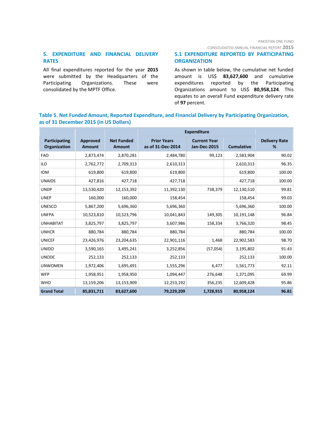CONSOLIDATED ANNUAL FINANCIAL REPORT **2015**

# **5. EXPENDITURE AND FINANCIAL DELIVERY RATES**

All final expenditures reported for the year **2015** were submitted by the Headquarters of the Participating Organizations. These were consolidated by the MPTF Office.

# **5.1 EXPENDITURE REPORTED BY PARTICIPATING ORGANIZATION**

As shown in table below, the cumulative net funded amount is US\$ **83,627,600** and cumulative expenditures reported by the Participating Organizations amount to US\$ **80,958,124**. This equates to an overall Fund expenditure delivery rate of **97** percent.

# **Table 5. Net Funded Amount, Reported Expenditure, and Financial Delivery by Participating Organization, as of 31 December 2015 (in US Dollars)**

|                               |                                  |                                    | <b>Expenditure</b>                      |                                     |                   |                           |
|-------------------------------|----------------------------------|------------------------------------|-----------------------------------------|-------------------------------------|-------------------|---------------------------|
| Participating<br>Organization | <b>Approved</b><br><b>Amount</b> | <b>Net Funded</b><br><b>Amount</b> | <b>Prior Years</b><br>as of 31-Dec-2014 | <b>Current Year</b><br>Jan-Dec-2015 | <b>Cumulative</b> | <b>Delivery Rate</b><br>% |
| <b>FAO</b>                    | 2,873,474                        | 2,870,281                          | 2,484,780                               | 99,123                              | 2,583,904         | 90.02                     |
| <b>ILO</b>                    | 2,762,772                        | 2,709,313                          | 2,610,313                               |                                     | 2,610,313         | 96.35                     |
| <b>IOM</b>                    | 619,800                          | 619,800                            | 619,800                                 |                                     | 619,800           | 100.00                    |
| <b>UNAIDS</b>                 | 427,816                          | 427,718                            | 427,718                                 |                                     | 427,718           | 100.00                    |
| <b>UNDP</b>                   | 13,530,420                       | 12,153,392                         | 11,392,130                              | 738,379                             | 12,130,510        | 99.81                     |
| <b>UNEP</b>                   | 160,000                          | 160,000                            | 158,454                                 |                                     | 158,454           | 99.03                     |
| <b>UNESCO</b>                 | 5,867,200                        | 5,696,360                          | 5,696,360                               |                                     | 5,696,360         | 100.00                    |
| <b>UNFPA</b>                  | 10,523,810                       | 10,523,796                         | 10,041,843                              | 149,305                             | 10,191,148        | 96.84                     |
| <b>UNHABITAT</b>              | 3,825,797                        | 3,825,797                          | 3,607,986                               | 158,334                             | 3,766,320         | 98.45                     |
| <b>UNHCR</b>                  | 880,784                          | 880,784                            | 880,784                                 |                                     | 880,784           | 100.00                    |
| <b>UNICEF</b>                 | 23,426,976                       | 23,204,635                         | 22,901,116                              | 1,468                               | 22,902,583        | 98.70                     |
| <b>UNIDO</b>                  | 3,590,165                        | 3,495,241                          | 3,252,856                               | (57,054)                            | 3,195,802         | 91.43                     |
| <b>UNODC</b>                  | 252,133                          | 252,133                            | 252,133                                 |                                     | 252,133           | 100.00                    |
| <b>UNWOMEN</b>                | 1,972,406                        | 1,695,491                          | 1,555,296                               | 6,477                               | 1,561,773         | 92.11                     |
| <b>WFP</b>                    | 1,958,951                        | 1,958,950                          | 1,094,447                               | 276,648                             | 1,371,095         | 69.99                     |
| <b>WHO</b>                    | 13,159,206                       | 13,153,909                         | 12,253,192                              | 356,235                             | 12,609,428        | 95.86                     |
| <b>Grand Total</b>            | 85,831,711                       | 83,627,600                         | 79,229,209                              | 1,728,915                           | 80,958,124        | 96.81                     |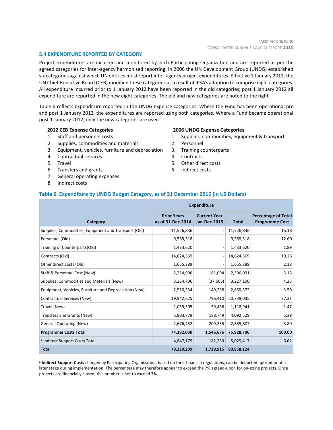# **5.4 EXPENDITURE REPORTED BY CATEGORY**

Project expenditures are incurred and monitored by each Participating Organization and are reported as per the agreed categories for inter-agency harmonized reporting. In 2006 the UN Development Group (UNDG) established six categories against which UN entities must report inter-agency project expenditures. Effective 1 January 2012, the UN Chief Executive Board (CEB) modified these categories as a result of IPSAS adoption to comprise eight categories. All expenditure incurred prior to 1 January 2012 have been reported in the old categories; post 1 January 2012 all expenditure are reported in the new eight categories. The old and new categories are noted to the right.

Table 6 reflects expenditure reported in the UNDG expense categories. Where the Fund has been operational pre and post 1 January 2012, the expenditures are reported using both categories. Where a Fund became operational post 1 January 2012, only the new categories are used.

# **2012 CEB Expense Categories**

- 1. Staff and personnel costs
- 2. Supplies, commodities and materials
- 3. Equipment, vehicles, furniture and depreciation
- 4. Contractual services
- 5. Travel
- 6. Transfers and grants
- 7. General operating expenses
- 8. Indirect costs

\_\_\_\_\_\_\_\_\_\_\_\_\_\_\_\_\_\_\_\_\_\_

# **2006 UNDG Expense Categories**

- 1. Supplies, commodities, equipment & transport
- 2. Personnel
- 3. Training counterparts
- 4. Contracts
- 5. Other direct costs
- 6. Indirect costs

# **Table 6. Expenditure by UNDG Budget Category, as of 31 December 2015 (in US Dollars)**

|                                                       | <b>Expenditure</b>                      |                                            |              |                                                     |
|-------------------------------------------------------|-----------------------------------------|--------------------------------------------|--------------|-----------------------------------------------------|
| <b>Category</b>                                       | <b>Prior Years</b><br>as of 31-Dec-2014 | <b>Current Year</b><br><b>Jan-Dec-2015</b> | <b>Total</b> | <b>Percentage of Total</b><br><b>Programme Cost</b> |
| Supplies, Commodities, Equipment and Transport (Old)  | 11,526,836                              |                                            | 11,526,836   | 15.18                                               |
| Personnel (Old)                                       | 9,569,318                               |                                            | 9,569,318    | 12.60                                               |
| Training of Counterparts(Old)                         | 1,433,620                               |                                            | 1,433,620    | 1.89                                                |
| Contracts (Old)                                       | 14,624,569                              |                                            | 14,624,569   | 19.26                                               |
| Other direct costs (Old)                              | 1,655,289                               |                                            | 1,655,289    | 2.18                                                |
| Staff & Personnel Cost (New)                          | 2,214,996                               | 181,094                                    | 2,396,091    | 3.16                                                |
| Supplies, Commodities and Materials (New)             | 3,264,706                               | (37, 605)                                  | 3,227,100    | 4.25                                                |
| Equipment, Vehicles, Furniture and Depreciation (New) | 2,510,334                               | 149,238                                    | 2,659,572    | 3.50                                                |
| Contractual Services (New)                            | 19,942,625                              | 796,410                                    | 20,739,035   | 27.31                                               |
| Travel (New)                                          | 1,059,505                               | 59,436                                     | 1,118,941    | 1.47                                                |
| Transfers and Grants (New)                            | 3,903,779                               | 188,749                                    | 4,092,529    | 5.39                                                |
| <b>General Operating (New)</b>                        | 2,676,452                               | 209,355                                    | 2,885,807    | 3.80                                                |
| <b>Programme Costs Total</b>                          | 74,382,030                              | 1,546,676                                  | 75,928,706   | 100.00                                              |
| <sup>1</sup> Indirect Support Costs Total             | 4,847,179                               | 182,239                                    | 5,029,417    | 6.62                                                |
| <b>Total</b>                                          | 79,229,209                              | 1,728,915                                  | 80,958,124   |                                                     |

**1 Indirect Support Costs** charged by Participating Organization, based on their financial regulations, can be deducted upfront or at a later stage during implementation. The percentage may therefore appear to exceed the 7% agreed-upon for on-going projects. Once projects are financially closed, this number is not to exceed 7%.